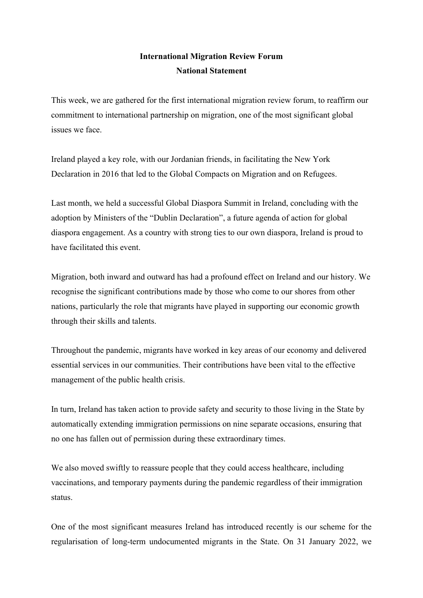## **International Migration Review Forum National Statement**

This week, we are gathered for the first international migration review forum, to reaffirm our commitment to international partnership on migration, one of the most significant global issues we face.

Ireland played a key role, with our Jordanian friends, in facilitating the New York Declaration in 2016 that led to the Global Compacts on Migration and on Refugees.

Last month, we held a successful Global Diaspora Summit in Ireland, concluding with the adoption by Ministers of the "Dublin Declaration", a future agenda of action for global diaspora engagement. As a country with strong ties to our own diaspora, Ireland is proud to have facilitated this event.

Migration, both inward and outward has had a profound effect on Ireland and our history. We recognise the significant contributions made by those who come to our shores from other nations, particularly the role that migrants have played in supporting our economic growth through their skills and talents.

Throughout the pandemic, migrants have worked in key areas of our economy and delivered essential services in our communities. Their contributions have been vital to the effective management of the public health crisis.

In turn, Ireland has taken action to provide safety and security to those living in the State by automatically extending immigration permissions on nine separate occasions, ensuring that no one has fallen out of permission during these extraordinary times.

We also moved swiftly to reassure people that they could access healthcare, including vaccinations, and temporary payments during the pandemic regardless of their immigration status.

One of the most significant measures Ireland has introduced recently is our scheme for the regularisation of long-term undocumented migrants in the State. On 31 January 2022, we